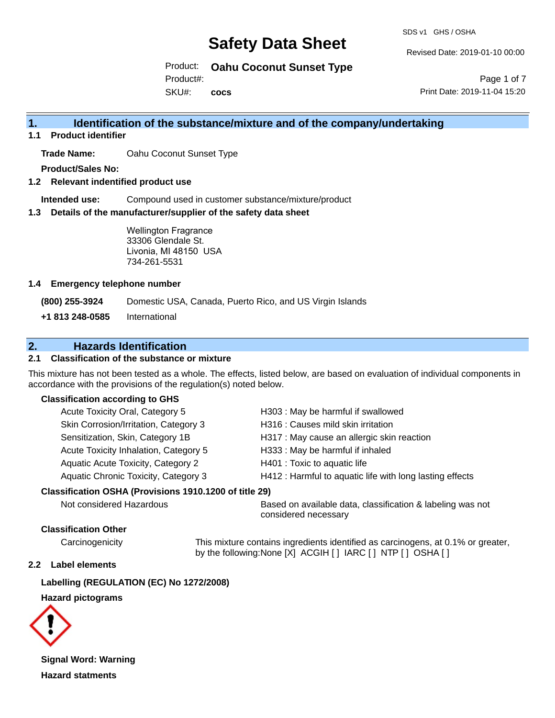SDS v1 GHS / OSHA

Revised Date: 2019-01-10 00:00

Product: **Oahu Coconut Sunset Type**

Product#:

SKU#: **cocs**

Page 1 of 7 Print Date: 2019-11-04 15:20

# **1. Identification of the substance/mixture and of the company/undertaking**

**1.1 Product identifier**

**Trade Name:** Oahu Coconut Sunset Type

**Product/Sales No:**

**1.2 Relevant indentified product use**

**Intended use:** Compound used in customer substance/mixture/product

**1.3 Details of the manufacturer/supplier of the safety data sheet**

Wellington Fragrance 33306 Glendale St. Livonia, MI 48150 USA 734-261-5531

#### **1.4 Emergency telephone number**

**(800) 255-3924** Domestic USA, Canada, Puerto Rico, and US Virgin Islands

**+1 813 248-0585** International

# **2. Hazards Identification**

#### **2.1 Classification of the substance or mixture**

This mixture has not been tested as a whole. The effects, listed below, are based on evaluation of individual components in accordance with the provisions of the regulation(s) noted below.

#### **Classification according to GHS**

| Acute Toxicity Oral, Category 5       | H303 : May be harmful if swallowed                       |
|---------------------------------------|----------------------------------------------------------|
| Skin Corrosion/Irritation, Category 3 | H316 : Causes mild skin irritation                       |
| Sensitization, Skin, Category 1B      | H317 : May cause an allergic skin reaction               |
| Acute Toxicity Inhalation, Category 5 | H333: May be harmful if inhaled                          |
| Aquatic Acute Toxicity, Category 2    | H401 : Toxic to aquatic life                             |
| Aquatic Chronic Toxicity, Category 3  | H412 : Harmful to aquatic life with long lasting effects |
|                                       |                                                          |

#### **Classification OSHA (Provisions 1910.1200 of title 29)**

Not considered Hazardous **Based on available data, classification & labeling was not** considered necessary

#### **Classification Other**

Carcinogenicity This mixture contains ingredients identified as carcinogens, at 0.1% or greater, by the following:None [X] ACGIH [ ] IARC [ ] NTP [ ] OSHA [ ]

#### **2.2 Label elements**

**Labelling (REGULATION (EC) No 1272/2008)**

#### **Hazard pictograms**



**Signal Word: Warning Hazard statments**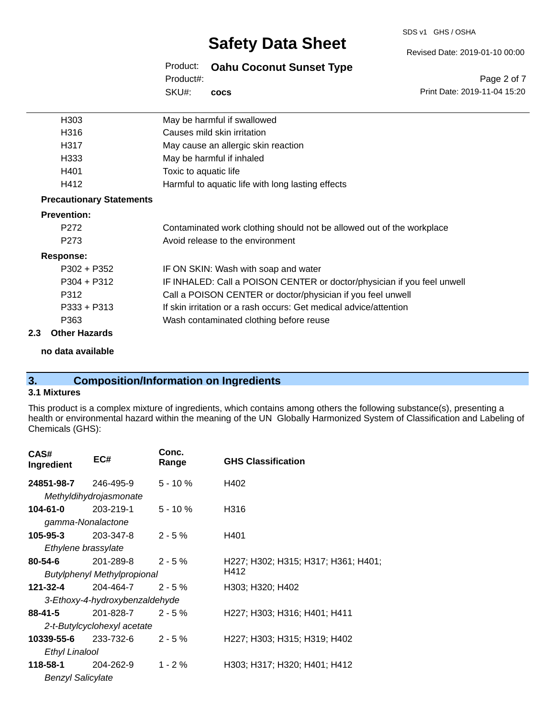#### SDS v1 GHS / OSHA

# **Safety Data Sheet**

Revised Date: 2019-01-10 00:00

Product: **Oahu Coconut Sunset Type** SKU#: Product#: **cocs**

Page 2 of 7 Print Date: 2019-11-04 15:20

| H303                            | May be harmful if swallowed                                             |
|---------------------------------|-------------------------------------------------------------------------|
| H316                            | Causes mild skin irritation                                             |
| H317                            | May cause an allergic skin reaction                                     |
| H333                            | May be harmful if inhaled                                               |
| H401                            | Toxic to aquatic life                                                   |
| H412                            | Harmful to aquatic life with long lasting effects                       |
| <b>Precautionary Statements</b> |                                                                         |
| <b>Prevention:</b>              |                                                                         |
| P <sub>272</sub>                | Contaminated work clothing should not be allowed out of the workplace   |
| P <sub>273</sub>                | Avoid release to the environment                                        |
| <b>Response:</b>                |                                                                         |
| $P302 + P352$                   | IF ON SKIN: Wash with soap and water                                    |
| $P304 + P312$                   | IF INHALED: Call a POISON CENTER or doctor/physician if you feel unwell |
| P312                            | Call a POISON CENTER or doctor/physician if you feel unwell             |
| $P333 + P313$                   | If skin irritation or a rash occurs: Get medical advice/attention       |
| P363                            | Wash contaminated clothing before reuse                                 |
| .                               |                                                                         |

#### **2.3 Other Hazards**

**no data available**

# **3. Composition/Information on Ingredients**

### **3.1 Mixtures**

This product is a complex mixture of ingredients, which contains among others the following substance(s), presenting a health or environmental hazard within the meaning of the UN Globally Harmonized System of Classification and Labeling of Chemicals (GHS):

| CAS#<br>Ingredient       | EC#                            | Conc.<br>Range | <b>GHS Classification</b>           |
|--------------------------|--------------------------------|----------------|-------------------------------------|
| 24851-98-7               | 246-495-9                      | $5 - 10%$      | H402                                |
|                          | Methyldihydrojasmonate         |                |                                     |
| 104-61-0                 | 203-219-1                      | $5 - 10%$      | H316                                |
| gamma-Nonalactone        |                                |                |                                     |
| 105-95-3                 | 203-347-8                      | $2 - 5%$       | H401                                |
| Ethylene brassylate      |                                |                |                                     |
| 80-54-6                  | $201 - 289 - 8$ 2 - 5 %        |                | H227; H302; H315; H317; H361; H401; |
|                          | Butylphenyl Methylpropional    |                | H412                                |
| 121-32-4                 | 204-464-7                      | $2 - 5%$       | H303; H320; H402                    |
|                          | 3-Ethoxy-4-hydroxybenzaldehyde |                |                                     |
| $88 - 41 - 5$            | 201-828-7                      | $2 - 5%$       | H227; H303; H316; H401; H411        |
|                          | 2-t-Butylcyclohexyl acetate    |                |                                     |
| 10339-55-6               | $233 - 732 - 6$ 2 - 5 %        |                | H227; H303; H315; H319; H402        |
| <b>Ethyl Linalool</b>    |                                |                |                                     |
| 118-58-1                 | 204-262-9                      | $1 - 2 \%$     | H303; H317; H320; H401; H412        |
| <b>Benzyl Salicylate</b> |                                |                |                                     |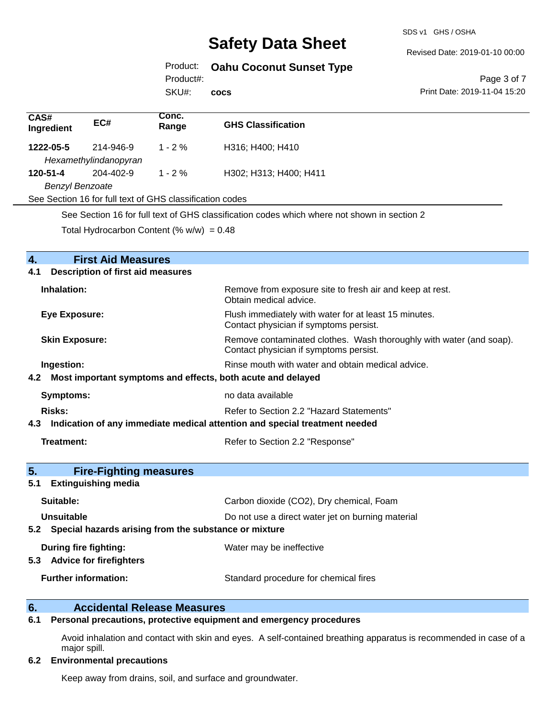SDS v1 GHS / OSHA

Revised Date: 2019-01-10 00:00

# Product: **Oahu Coconut Sunset Type**

Product#:

SKU#: **cocs**

Page 3 of 7 Print Date: 2019-11-04 15:20

| CAS#<br>Ingredient                                                                                                                                                                                                                                                                                                                                                | EC#                                | Conc.<br>Range | <b>GHS Classification</b> |
|-------------------------------------------------------------------------------------------------------------------------------------------------------------------------------------------------------------------------------------------------------------------------------------------------------------------------------------------------------------------|------------------------------------|----------------|---------------------------|
| 1222-05-5                                                                                                                                                                                                                                                                                                                                                         | 214-946-9<br>Hexamethylindanopyran | $1 - 2\%$      | H316; H400; H410          |
| 120-51-4                                                                                                                                                                                                                                                                                                                                                          | 204-402-9                          | $1 - 2 \%$     | H302; H313; H400; H411    |
| <b>Benzyl Benzoate</b>                                                                                                                                                                                                                                                                                                                                            |                                    |                |                           |
| See Section 16 for full text of GHS classification codes                                                                                                                                                                                                                                                                                                          |                                    |                |                           |
| $\bigcap_{i=1}^n \bigcap_{i=1}^n \bigcup_{i=1}^n \bigcap_{i=1}^n \bigcap_{i=1}^n \bigcap_{i=1}^n \bigcap_{i=1}^n \bigcap_{i=1}^n \bigcap_{i=1}^n \bigcap_{i=1}^n \bigcap_{i=1}^n \bigcap_{i=1}^n \bigcap_{i=1}^n \bigcap_{i=1}^n \bigcap_{i=1}^n \bigcap_{i=1}^n \bigcap_{i=1}^n \bigcap_{i=1}^n \bigcap_{i=1}^n \bigcap_{i=1}^n \bigcap_{i=1}^n \bigcap_{i=1}^n$ |                                    |                |                           |

See Section 16 for full text of GHS classification codes which where not shown in section 2

Total Hydrocarbon Content (%  $w/w$ ) = 0.48

| $\overline{4}$ .<br><b>First Aid Measures</b><br><b>Description of first aid measures</b><br>4.1 |                                                                                                               |
|--------------------------------------------------------------------------------------------------|---------------------------------------------------------------------------------------------------------------|
| Inhalation:                                                                                      | Remove from exposure site to fresh air and keep at rest.<br>Obtain medical advice.                            |
| <b>Eye Exposure:</b>                                                                             | Flush immediately with water for at least 15 minutes.<br>Contact physician if symptoms persist.               |
| <b>Skin Exposure:</b>                                                                            | Remove contaminated clothes. Wash thoroughly with water (and soap).<br>Contact physician if symptoms persist. |
| Ingestion:                                                                                       | Rinse mouth with water and obtain medical advice.                                                             |
| 4.2 Most important symptoms and effects, both acute and delayed                                  |                                                                                                               |
| <b>Symptoms:</b>                                                                                 | no data available                                                                                             |
| Risks:                                                                                           | Refer to Section 2.2 "Hazard Statements"                                                                      |
| Indication of any immediate medical attention and special treatment needed<br>4.3                |                                                                                                               |
| Treatment:                                                                                       | Refer to Section 2.2 "Response"                                                                               |
| 5.<br><b>Fire-Fighting measures</b>                                                              |                                                                                                               |
| <b>Extinguishing media</b><br>5.1                                                                |                                                                                                               |
| Suitable:                                                                                        | Carbon dioxide (CO2), Dry chemical, Foam                                                                      |
| Unsuitable                                                                                       | Do not use a direct water jet on burning material                                                             |
| 5.2 Special hazards arising from the substance or mixture                                        |                                                                                                               |
| <b>During fire fighting:</b><br>5.3 Advice for firefighters                                      | Water may be ineffective                                                                                      |
| <b>Further information:</b>                                                                      | Standard procedure for chemical fires                                                                         |

## **6. Accidental Release Measures**

## **6.1 Personal precautions, protective equipment and emergency procedures**

Avoid inhalation and contact with skin and eyes. A self-contained breathing apparatus is recommended in case of a major spill.

#### **6.2 Environmental precautions**

Keep away from drains, soil, and surface and groundwater.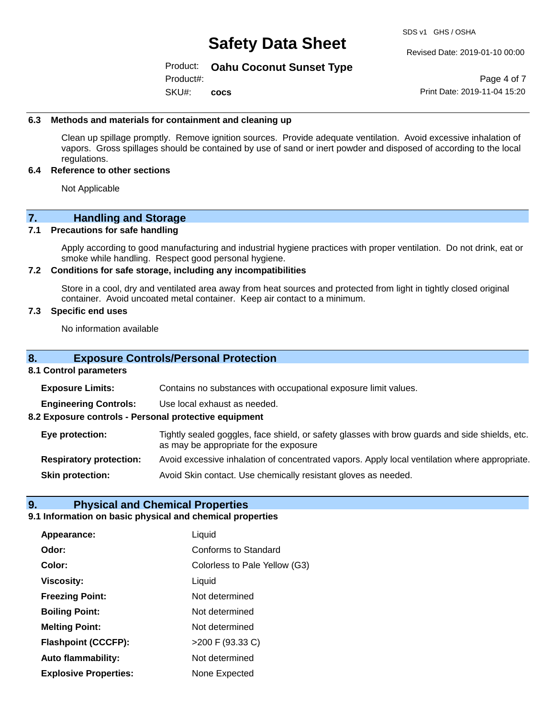SDS v1 GHS / OSHA

Revised Date: 2019-01-10 00:00

#### Product: **Oahu Coconut Sunset Type**

SKU#: Product#: **cocs**

Page 4 of 7 Print Date: 2019-11-04 15:20

#### **6.3 Methods and materials for containment and cleaning up**

Clean up spillage promptly. Remove ignition sources. Provide adequate ventilation. Avoid excessive inhalation of vapors. Gross spillages should be contained by use of sand or inert powder and disposed of according to the local regulations.

#### **6.4 Reference to other sections**

Not Applicable

# **7. Handling and Storage**

#### **7.1 Precautions for safe handling**

Apply according to good manufacturing and industrial hygiene practices with proper ventilation. Do not drink, eat or smoke while handling. Respect good personal hygiene.

#### **7.2 Conditions for safe storage, including any incompatibilities**

Store in a cool, dry and ventilated area away from heat sources and protected from light in tightly closed original container. Avoid uncoated metal container. Keep air contact to a minimum.

#### **7.3 Specific end uses**

No information available

#### **8. Exposure Controls/Personal Protection**

#### **8.1 Control parameters**

**Exposure Limits:** Contains no substances with occupational exposure limit values.

**Engineering Controls:** Use local exhaust as needed.

**8.2 Exposure controls - Personal protective equipment**

**Eye protection:** Tightly sealed goggles, face shield, or safety glasses with brow guards and side shields, etc. as may be appropriate for the exposure

**Respiratory protection:** Avoid excessive inhalation of concentrated vapors. Apply local ventilation where appropriate.

**Skin protection:** Avoid Skin contact. Use chemically resistant gloves as needed.

## **9. Physical and Chemical Properties**

#### **9.1 Information on basic physical and chemical properties**

| Appearance:                  | Liquid                        |
|------------------------------|-------------------------------|
| Odor:                        | <b>Conforms to Standard</b>   |
| Color:                       | Colorless to Pale Yellow (G3) |
| <b>Viscosity:</b>            | Liquid                        |
| <b>Freezing Point:</b>       | Not determined                |
| <b>Boiling Point:</b>        | Not determined                |
| <b>Melting Point:</b>        | Not determined                |
| <b>Flashpoint (CCCFP):</b>   | >200 F (93.33 C)              |
| <b>Auto flammability:</b>    | Not determined                |
| <b>Explosive Properties:</b> | None Expected                 |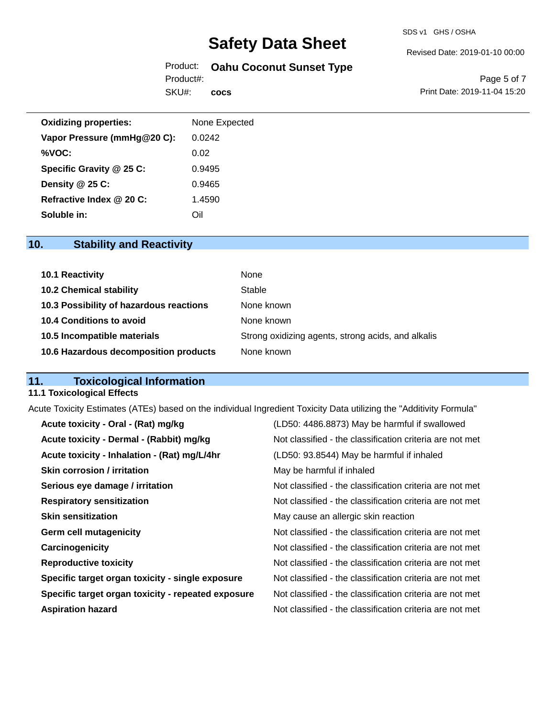#### Revised Date: 2019-01-10 00:00

# Product: **Oahu Coconut Sunset Type**

SKU#: Product#: **cocs**

Page 5 of 7 Print Date: 2019-11-04 15:20

| <b>Oxidizing properties:</b> | None Expected |
|------------------------------|---------------|
| Vapor Pressure (mmHg@20 C):  | 0.0242        |
| %VOC:                        | 0.02          |
| Specific Gravity @ 25 C:     | 0.9495        |
| Density $@25C$ :             | 0.9465        |
| Refractive Index @ 20 C:     | 1.4590        |
| Soluble in:                  | Oil           |

# **10. Stability and Reactivity**

| 10.1 Reactivity                         | None                                               |
|-----------------------------------------|----------------------------------------------------|
| <b>10.2 Chemical stability</b>          | Stable                                             |
| 10.3 Possibility of hazardous reactions | None known                                         |
| 10.4 Conditions to avoid                | None known                                         |
| 10.5 Incompatible materials             | Strong oxidizing agents, strong acids, and alkalis |
| 10.6 Hazardous decomposition products   | None known                                         |

# **11. Toxicological Information**

#### **11.1 Toxicological Effects**

Acute Toxicity Estimates (ATEs) based on the individual Ingredient Toxicity Data utilizing the "Additivity Formula"

| Acute toxicity - Oral - (Rat) mg/kg                | (LD50: 4486.8873) May be harmful if swallowed            |
|----------------------------------------------------|----------------------------------------------------------|
| Acute toxicity - Dermal - (Rabbit) mg/kg           | Not classified - the classification criteria are not met |
| Acute toxicity - Inhalation - (Rat) mg/L/4hr       | (LD50: 93.8544) May be harmful if inhaled                |
| <b>Skin corrosion / irritation</b>                 | May be harmful if inhaled                                |
| Serious eye damage / irritation                    | Not classified - the classification criteria are not met |
| <b>Respiratory sensitization</b>                   | Not classified - the classification criteria are not met |
| <b>Skin sensitization</b>                          | May cause an allergic skin reaction                      |
| <b>Germ cell mutagenicity</b>                      | Not classified - the classification criteria are not met |
| Carcinogenicity                                    | Not classified - the classification criteria are not met |
| <b>Reproductive toxicity</b>                       | Not classified - the classification criteria are not met |
| Specific target organ toxicity - single exposure   | Not classified - the classification criteria are not met |
| Specific target organ toxicity - repeated exposure | Not classified - the classification criteria are not met |
| <b>Aspiration hazard</b>                           | Not classified - the classification criteria are not met |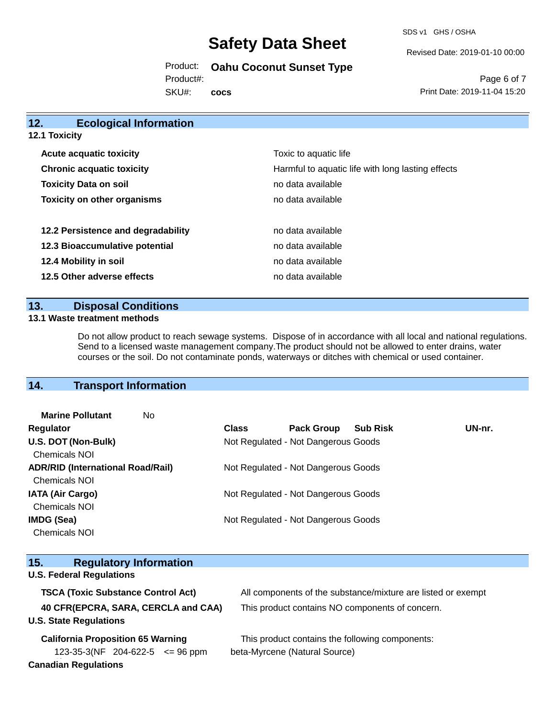SDS v1 GHS / OSHA

Revised Date: 2019-01-10 00:00

Product: **Oahu Coconut Sunset Type**

Product#:

SKU#: **cocs**

Page 6 of 7 Print Date: 2019-11-04 15:20

| 12.<br><b>Ecological Information</b> |                                                   |
|--------------------------------------|---------------------------------------------------|
| 12.1 Toxicity                        |                                                   |
| <b>Acute acquatic toxicity</b>       | Toxic to aquatic life                             |
| <b>Chronic acquatic toxicity</b>     | Harmful to aquatic life with long lasting effects |
| <b>Toxicity Data on soil</b>         | no data available                                 |
| <b>Toxicity on other organisms</b>   | no data available                                 |
| 12.2 Persistence and degradability   | no data available                                 |
| 12.3 Bioaccumulative potential       | no data available                                 |
| 12.4 Mobility in soil                | no data available                                 |
| 12.5 Other adverse effects           | no data available                                 |
|                                      |                                                   |

# **13. Disposal Conditions**

#### **13.1 Waste treatment methods**

Do not allow product to reach sewage systems. Dispose of in accordance with all local and national regulations. Send to a licensed waste management company.The product should not be allowed to enter drains, water courses or the soil. Do not contaminate ponds, waterways or ditches with chemical or used container.

# **14. Transport Information**

| UN-nr. |
|--------|

| 15.<br><b>Regulatory Information</b>      |                                                              |
|-------------------------------------------|--------------------------------------------------------------|
| <b>U.S. Federal Regulations</b>           |                                                              |
| <b>TSCA (Toxic Substance Control Act)</b> | All components of the substance/mixture are listed or exempt |
| 40 CFR(EPCRA, SARA, CERCLA and CAA)       | This product contains NO components of concern.              |
| <b>U.S. State Regulations</b>             |                                                              |
| <b>California Proposition 65 Warning</b>  | This product contains the following components:              |
| 123-35-3(NF 204-622-5 $\leq$ 96 ppm       | beta-Myrcene (Natural Source)                                |
| <b>Canadian Regulations</b>               |                                                              |